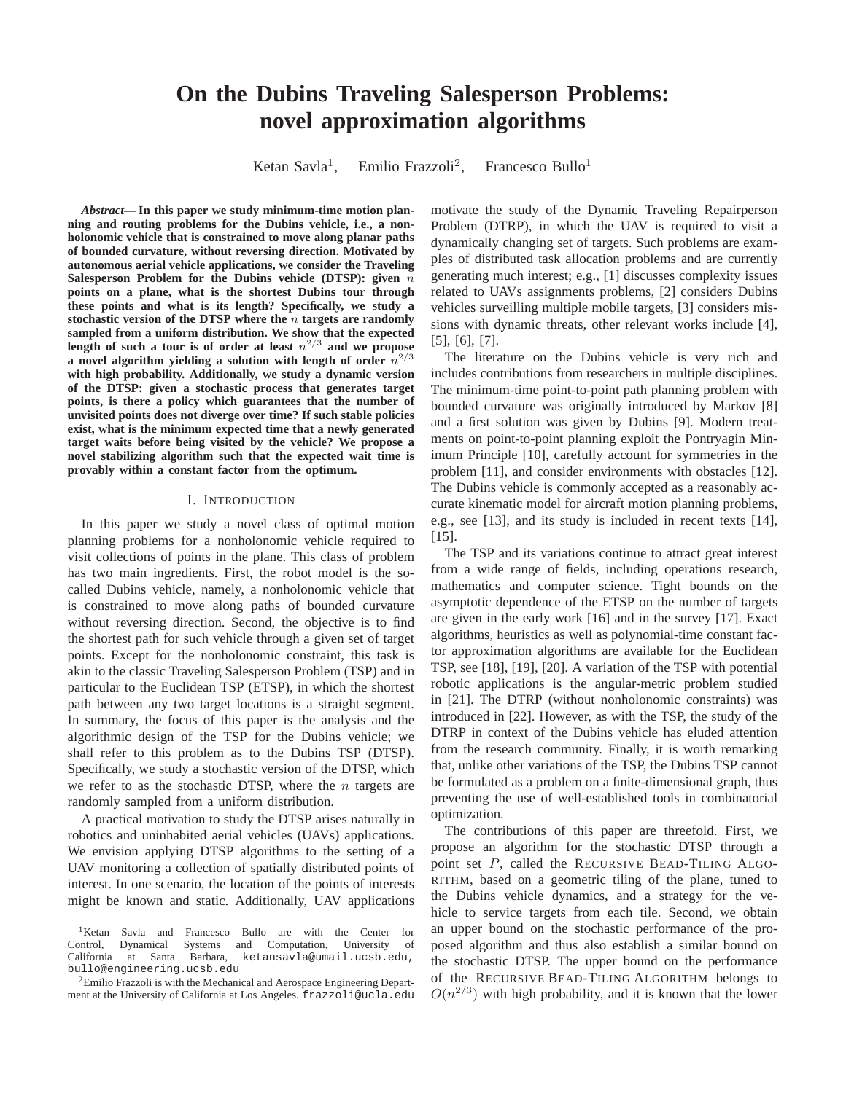# **On the Dubins Traveling Salesperson Problems: novel approximation algorithms**

Ketan Savla<sup>1</sup>, Emilio Frazzoli<sup>2</sup>, Francesco Bullo<sup>1</sup>

*Abstract***— In this paper we study minimum-time motion planning and routing problems for the Dubins vehicle, i.e., a nonholonomic vehicle that is constrained to move along planar paths of bounded curvature, without reversing direction. Motivated by autonomous aerial vehicle applications, we consider the Traveling Salesperson Problem for the Dubins vehicle (DTSP): given** n **points on a plane, what is the shortest Dubins tour through these points and what is its length? Specifically, we study a stochastic version of the DTSP where the** n **targets are randomly sampled from a uniform distribution. We show that the expected** length of such a tour is of order at least  $n^{2/3}$  and we propose a novel algorithm yielding a solution with length of order  $n^{2/3}$ **with high probability. Additionally, we study a dynamic version of the DTSP: given a stochastic process that generates target points, is there a policy which guarantees that the number of unvisited points does not diverge over time? If such stable policies exist, what is the minimum expected time that a newly generated target waits before being visited by the vehicle? We propose a novel stabilizing algorithm such that the expected wait time is provably within a constant factor from the optimum.**

## I. INTRODUCTION

In this paper we study a novel class of optimal motion planning problems for a nonholonomic vehicle required to visit collections of points in the plane. This class of problem has two main ingredients. First, the robot model is the socalled Dubins vehicle, namely, a nonholonomic vehicle that is constrained to move along paths of bounded curvature without reversing direction. Second, the objective is to find the shortest path for such vehicle through a given set of target points. Except for the nonholonomic constraint, this task is akin to the classic Traveling Salesperson Problem (TSP) and in particular to the Euclidean TSP (ETSP), in which the shortest path between any two target locations is a straight segment. In summary, the focus of this paper is the analysis and the algorithmic design of the TSP for the Dubins vehicle; we shall refer to this problem as to the Dubins TSP (DTSP). Specifically, we study a stochastic version of the DTSP, which we refer to as the stochastic DTSP, where the  $n$  targets are randomly sampled from a uniform distribution.

A practical motivation to study the DTSP arises naturally in robotics and uninhabited aerial vehicles (UAVs) applications. We envision applying DTSP algorithms to the setting of a UAV monitoring a collection of spatially distributed points of interest. In one scenario, the location of the points of interests might be known and static. Additionally, UAV applications

motivate the study of the Dynamic Traveling Repairperson Problem (DTRP), in which the UAV is required to visit a dynamically changing set of targets. Such problems are examples of distributed task allocation problems and are currently generating much interest; e.g., [1] discusses complexity issues related to UAVs assignments problems, [2] considers Dubins vehicles surveilling multiple mobile targets, [3] considers missions with dynamic threats, other relevant works include [4], [5], [6], [7].

The literature on the Dubins vehicle is very rich and includes contributions from researchers in multiple disciplines. The minimum-time point-to-point path planning problem with bounded curvature was originally introduced by Markov [8] and a first solution was given by Dubins [9]. Modern treatments on point-to-point planning exploit the Pontryagin Minimum Principle [10], carefully account for symmetries in the problem [11], and consider environments with obstacles [12]. The Dubins vehicle is commonly accepted as a reasonably accurate kinematic model for aircraft motion planning problems, e.g., see [13], and its study is included in recent texts [14], [15].

The TSP and its variations continue to attract great interest from a wide range of fields, including operations research, mathematics and computer science. Tight bounds on the asymptotic dependence of the ETSP on the number of targets are given in the early work [16] and in the survey [17]. Exact algorithms, heuristics as well as polynomial-time constant factor approximation algorithms are available for the Euclidean TSP, see [18], [19], [20]. A variation of the TSP with potential robotic applications is the angular-metric problem studied in [21]. The DTRP (without nonholonomic constraints) was introduced in [22]. However, as with the TSP, the study of the DTRP in context of the Dubins vehicle has eluded attention from the research community. Finally, it is worth remarking that, unlike other variations of the TSP, the Dubins TSP cannot be formulated as a problem on a finite-dimensional graph, thus preventing the use of well-established tools in combinatorial optimization.

The contributions of this paper are threefold. First, we propose an algorithm for the stochastic DTSP through a point set P, called the RECURSIVE BEAD-TILING ALGO-RITHM, based on a geometric tiling of the plane, tuned to the Dubins vehicle dynamics, and a strategy for the vehicle to service targets from each tile. Second, we obtain an upper bound on the stochastic performance of the proposed algorithm and thus also establish a similar bound on the stochastic DTSP. The upper bound on the performance of the RECURSIVE BEAD-TILING ALGORITHM belongs to  $O(n^{2/3})$  with high probability, and it is known that the lower

<sup>&</sup>lt;sup>1</sup>Ketan Savla and Francesco Bullo are with the Center for Control, Dynamical Systems and Computation, University of California at Santa Barbara, ketansavla@umail.ucsb.edu, bullo@engineering.ucsb.edu

<sup>&</sup>lt;sup>2</sup>Emilio Frazzoli is with the Mechanical and Aerospace Engineering Department at the University of California at Los Angeles. frazzoli@ucla.edu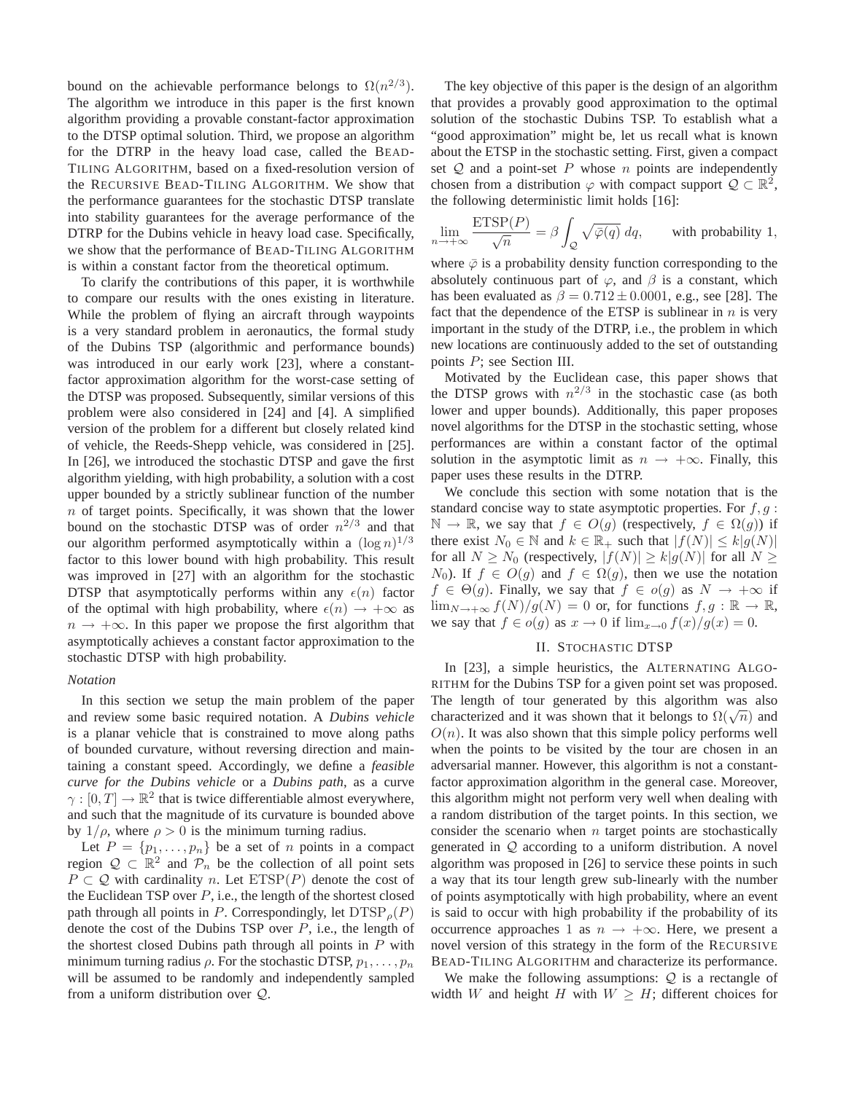bound on the achievable performance belongs to  $\Omega(n^{2/3})$ . The algorithm we introduce in this paper is the first known algorithm providing a provable constant-factor approximation to the DTSP optimal solution. Third, we propose an algorithm for the DTRP in the heavy load case, called the BEAD-TILING ALGORITHM, based on a fixed-resolution version of the RECURSIVE BEAD-TILING ALGORITHM. We show that the performance guarantees for the stochastic DTSP translate into stability guarantees for the average performance of the DTRP for the Dubins vehicle in heavy load case. Specifically, we show that the performance of BEAD-TILING ALGORITHM is within a constant factor from the theoretical optimum.

To clarify the contributions of this paper, it is worthwhile to compare our results with the ones existing in literature. While the problem of flying an aircraft through waypoints is a very standard problem in aeronautics, the formal study of the Dubins TSP (algorithmic and performance bounds) was introduced in our early work [23], where a constantfactor approximation algorithm for the worst-case setting of the DTSP was proposed. Subsequently, similar versions of this problem were also considered in [24] and [4]. A simplified version of the problem for a different but closely related kind of vehicle, the Reeds-Shepp vehicle, was considered in [25]. In [26], we introduced the stochastic DTSP and gave the first algorithm yielding, with high probability, a solution with a cost upper bounded by a strictly sublinear function of the number  $n$  of target points. Specifically, it was shown that the lower bound on the stochastic DTSP was of order  $n^{2/3}$  and that our algorithm performed asymptotically within a  $(\log n)^{1/3}$ factor to this lower bound with high probability. This result was improved in [27] with an algorithm for the stochastic DTSP that asymptotically performs within any  $\epsilon(n)$  factor of the optimal with high probability, where  $\epsilon(n) \rightarrow +\infty$  as  $n \rightarrow +\infty$ . In this paper we propose the first algorithm that asymptotically achieves a constant factor approximation to the stochastic DTSP with high probability.

## *Notation*

In this section we setup the main problem of the paper and review some basic required notation. A *Dubins vehicle* is a planar vehicle that is constrained to move along paths of bounded curvature, without reversing direction and maintaining a constant speed. Accordingly, we define a *feasible curve for the Dubins vehicle* or a *Dubins path*, as a curve  $\gamma : [0, T] \to \mathbb{R}^2$  that is twice differentiable almost everywhere, and such that the magnitude of its curvature is bounded above by  $1/\rho$ , where  $\rho > 0$  is the minimum turning radius.

Let  $P = \{p_1, \ldots, p_n\}$  be a set of n points in a compact region  $\mathcal{Q} \subset \mathbb{R}^2$  and  $\mathcal{P}_n$  be the collection of all point sets  $P \subset Q$  with cardinality n. Let  $ETSP(P)$  denote the cost of the Euclidean TSP over  $P$ , i.e., the length of the shortest closed path through all points in P. Correspondingly, let  $DTSP<sub>0</sub>(P)$ denote the cost of the Dubins TSP over  $P$ , i.e., the length of the shortest closed Dubins path through all points in  $P$  with minimum turning radius  $\rho$ . For the stochastic DTSP,  $p_1, \ldots, p_n$ will be assumed to be randomly and independently sampled from a uniform distribution over Q.

The key objective of this paper is the design of an algorithm that provides a provably good approximation to the optimal solution of the stochastic Dubins TSP. To establish what a "good approximation" might be, let us recall what is known about the ETSP in the stochastic setting. First, given a compact set  $Q$  and a point-set P whose n points are independently chosen from a distribution  $\varphi$  with compact support  $\mathcal{Q} \subset \mathbb{R}^2$ , the following deterministic limit holds [16]:

$$
\lim_{n \to +\infty} \frac{\text{ETSP}(P)}{\sqrt{n}} = \beta \int_{\mathcal{Q}} \sqrt{\bar{\varphi}(q)} \, dq, \qquad \text{with probability 1,}
$$

where  $\overline{\varphi}$  is a probability density function corresponding to the absolutely continuous part of  $\varphi$ , and  $\beta$  is a constant, which has been evaluated as  $\beta = 0.712 \pm 0.0001$ , e.g., see [28]. The fact that the dependence of the ETSP is sublinear in  $n$  is very important in the study of the DTRP, i.e., the problem in which new locations are continuously added to the set of outstanding points P; see Section III.

Motivated by the Euclidean case, this paper shows that the DTSP grows with  $n^{2/3}$  in the stochastic case (as both lower and upper bounds). Additionally, this paper proposes novel algorithms for the DTSP in the stochastic setting, whose performances are within a constant factor of the optimal solution in the asymptotic limit as  $n \to +\infty$ . Finally, this paper uses these results in the DTRP.

We conclude this section with some notation that is the standard concise way to state asymptotic properties. For  $f, g$ :  $\mathbb{N} \to \mathbb{R}$ , we say that  $f \in O(g)$  (respectively,  $f \in \Omega(g)$ ) if there exist  $N_0 \in \mathbb{N}$  and  $k \in \mathbb{R}_+$  such that  $|f(N)| \leq k|g(N)|$ for all  $N \ge N_0$  (respectively,  $|f(N)| \ge k|g(N)|$  for all  $N \ge$  $N_0$ ). If  $f \in O(g)$  and  $f \in \Omega(g)$ , then we use the notation  $f \in \Theta(g)$ . Finally, we say that  $f \in o(g)$  as  $N \to +\infty$  if  $\lim_{N\to+\infty}f(N)/g(N)=0$  or, for functions  $f,g:\mathbb{R}\to\mathbb{R}$ , we say that  $f \in o(g)$  as  $x \to 0$  if  $\lim_{x \to 0} f(x)/g(x) = 0$ .

#### II. STOCHASTIC DTSP

In [23], a simple heuristics, the ALTERNATING ALGO-RITHM for the Dubins TSP for a given point set was proposed. The length of tour generated by this algorithm was also characterized and it was shown that it belongs to  $\Omega(\sqrt{n})$  and  $O(n)$ . It was also shown that this simple policy performs well when the points to be visited by the tour are chosen in an adversarial manner. However, this algorithm is not a constantfactor approximation algorithm in the general case. Moreover, this algorithm might not perform very well when dealing with a random distribution of the target points. In this section, we consider the scenario when  $n$  target points are stochastically generated in Q according to a uniform distribution. A novel algorithm was proposed in [26] to service these points in such a way that its tour length grew sub-linearly with the number of points asymptotically with high probability, where an event is said to occur with high probability if the probability of its occurrence approaches 1 as  $n \to +\infty$ . Here, we present a novel version of this strategy in the form of the RECURSIVE BEAD-TILING ALGORITHM and characterize its performance.

We make the following assumptions:  $Q$  is a rectangle of width W and height H with  $W \geq H$ ; different choices for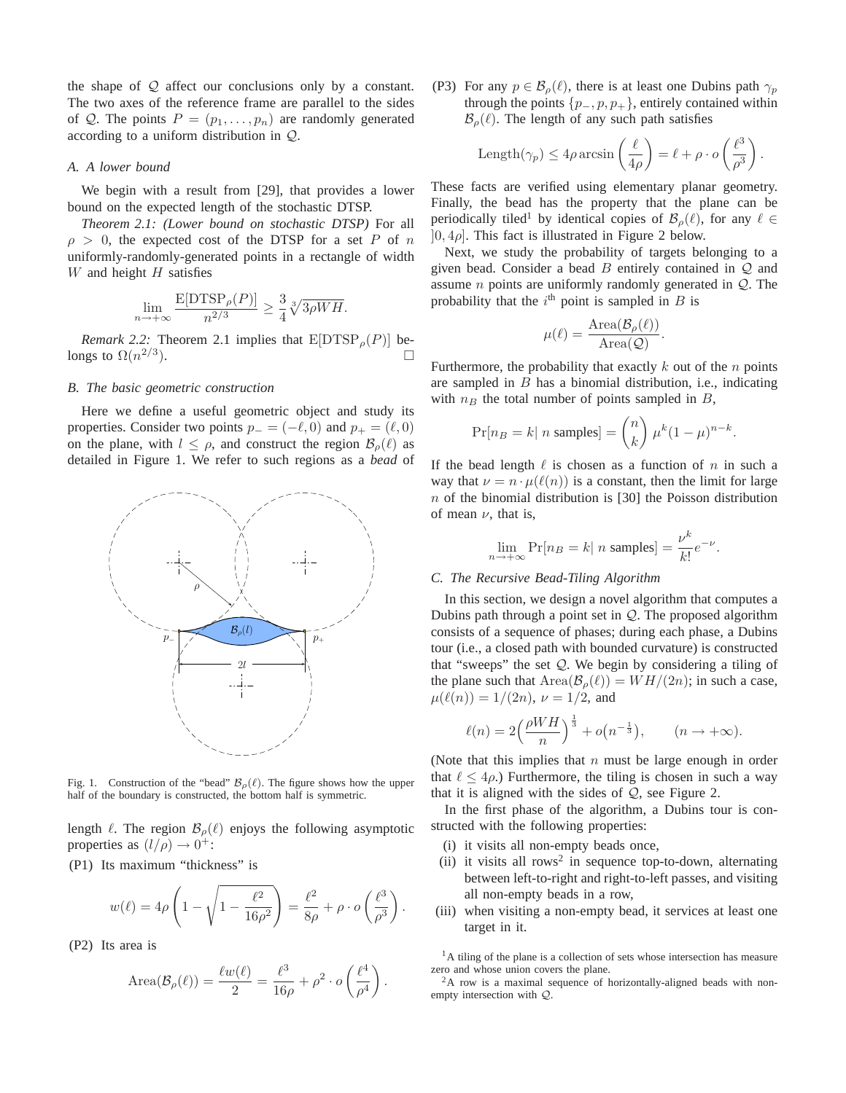the shape of  $Q$  affect our conclusions only by a constant. The two axes of the reference frame are parallel to the sides of Q. The points  $P = (p_1, \ldots, p_n)$  are randomly generated according to a uniform distribution in Q.

## *A. A lower bound*

We begin with a result from [29], that provides a lower bound on the expected length of the stochastic DTSP.

*Theorem 2.1: (Lower bound on stochastic DTSP)* For all  $\rho > 0$ , the expected cost of the DTSP for a set P of n uniformly-randomly-generated points in a rectangle of width  $W$  and height  $H$  satisfies

$$
\lim_{n \to +\infty} \frac{\mathbb{E}[DTSP_{\rho}(P)]}{n^{2/3}} \ge \frac{3}{4} \sqrt[3]{3\rho WH}.
$$

*Remark 2.2:* Theorem 2.1 implies that  $E[DTSP_{\rho}(P)]$  belongs to  $\Omega(n^{2/3})$ ).  $\qquad \qquad \Box$ 

## *B. The basic geometric construction*

Here we define a useful geometric object and study its properties. Consider two points  $p_- = (-\ell, 0)$  and  $p_+ = (\ell, 0)$ on the plane, with  $l \leq \rho$ , and construct the region  $\mathcal{B}_{\rho}(\ell)$  as detailed in Figure 1. We refer to such regions as a *bead* of



Fig. 1. Construction of the "bead"  $\mathcal{B}_{\rho}(\ell)$ . The figure shows how the upper half of the boundary is constructed, the bottom half is symmetric.

length  $\ell$ . The region  $\mathcal{B}_{\rho}(\ell)$  enjoys the following asymptotic properties as  $(l/\rho) \rightarrow 0^+$ :

(P1) Its maximum "thickness" is

$$
w(\ell) = 4\rho \left( 1 - \sqrt{1 - \frac{\ell^2}{16\rho^2}} \right) = \frac{\ell^2}{8\rho} + \rho \cdot o\left(\frac{\ell^3}{\rho^3}\right)
$$

.

(P2) Its area is

Area
$$
(\mathcal{B}_{\rho}(\ell)) = \frac{\ell w(\ell)}{2} = \frac{\ell^3}{16\rho} + \rho^2 \cdot o\left(\frac{\ell^4}{\rho^4}\right).
$$

(P3) For any  $p \in \mathcal{B}_o(\ell)$ , there is at least one Dubins path  $\gamma_p$ through the points  $\{p_-, p, p_+\}$ , entirely contained within  $\mathcal{B}_{\rho}(\ell)$ . The length of any such path satisfies

Length(
$$
\gamma_p
$$
)  $\leq 4\rho \arcsin\left(\frac{\ell}{4\rho}\right) = \ell + \rho \cdot o\left(\frac{\ell^3}{\rho^3}\right).$ 

These facts are verified using elementary planar geometry. Finally, the bead has the property that the plane can be periodically tiled<sup>1</sup> by identical copies of  $\mathcal{B}_{\rho}(\ell)$ , for any  $\ell \in$  $[0, 4\rho]$ . This fact is illustrated in Figure 2 below.

Next, we study the probability of targets belonging to a given bead. Consider a bead  $B$  entirely contained in  $Q$  and assume *n* points are uniformly randomly generated in  $Q$ . The probability that the  $i<sup>th</sup>$  point is sampled in  $B$  is

$$
\mu(\ell) = \frac{\text{Area}(\mathcal{B}_{\rho}(\ell))}{\text{Area}(\mathcal{Q})}.
$$

Furthermore, the probability that exactly  $k$  out of the  $n$  points are sampled in  $B$  has a binomial distribution, i.e., indicating with  $n_B$  the total number of points sampled in  $B$ ,

$$
\Pr[n_B = k \mid n \text{ samples}] = \binom{n}{k} \mu^k (1 - \mu)^{n - k}.
$$

If the bead length  $\ell$  is chosen as a function of n in such a way that  $\nu = n \cdot \mu(\ell(n))$  is a constant, then the limit for large  $n$  of the binomial distribution is [30] the Poisson distribution of mean  $\nu$ , that is,

$$
\lim_{n \to +\infty} \Pr[n_B = k \mid n \text{ samples}] = \frac{\nu^k}{k!} e^{-\nu}.
$$

## *C. The Recursive Bead-Tiling Algorithm*

In this section, we design a novel algorithm that computes a Dubins path through a point set in  $Q$ . The proposed algorithm consists of a sequence of phases; during each phase, a Dubins tour (i.e., a closed path with bounded curvature) is constructed that "sweeps" the set  $Q$ . We begin by considering a tiling of the plane such that  $Area(B_{\rho}(\ell)) = WH/(2n)$ ; in such a case,  $\mu(\ell(n)) = 1/(2n), \nu = 1/2$ , and

$$
\ell(n) = 2\left(\frac{\rho W H}{n}\right)^{\frac{1}{3}} + o\left(n^{-\frac{1}{3}}\right), \qquad (n \to +\infty).
$$

(Note that this implies that  $n$  must be large enough in order that  $\ell \leq 4\rho$ .) Furthermore, the tiling is chosen in such a way that it is aligned with the sides of  $Q$ , see Figure 2.

In the first phase of the algorithm, a Dubins tour is constructed with the following properties:

- (i) it visits all non-empty beads once,
- (ii) it visits all rows<sup>2</sup> in sequence top-to-down, alternating between left-to-right and right-to-left passes, and visiting all non-empty beads in a row,
- (iii) when visiting a non-empty bead, it services at least one target in it.

<sup>1</sup>A tiling of the plane is a collection of sets whose intersection has measure zero and whose union covers the plane.

<sup>2</sup>A row is a maximal sequence of horizontally-aligned beads with nonempty intersection with Q.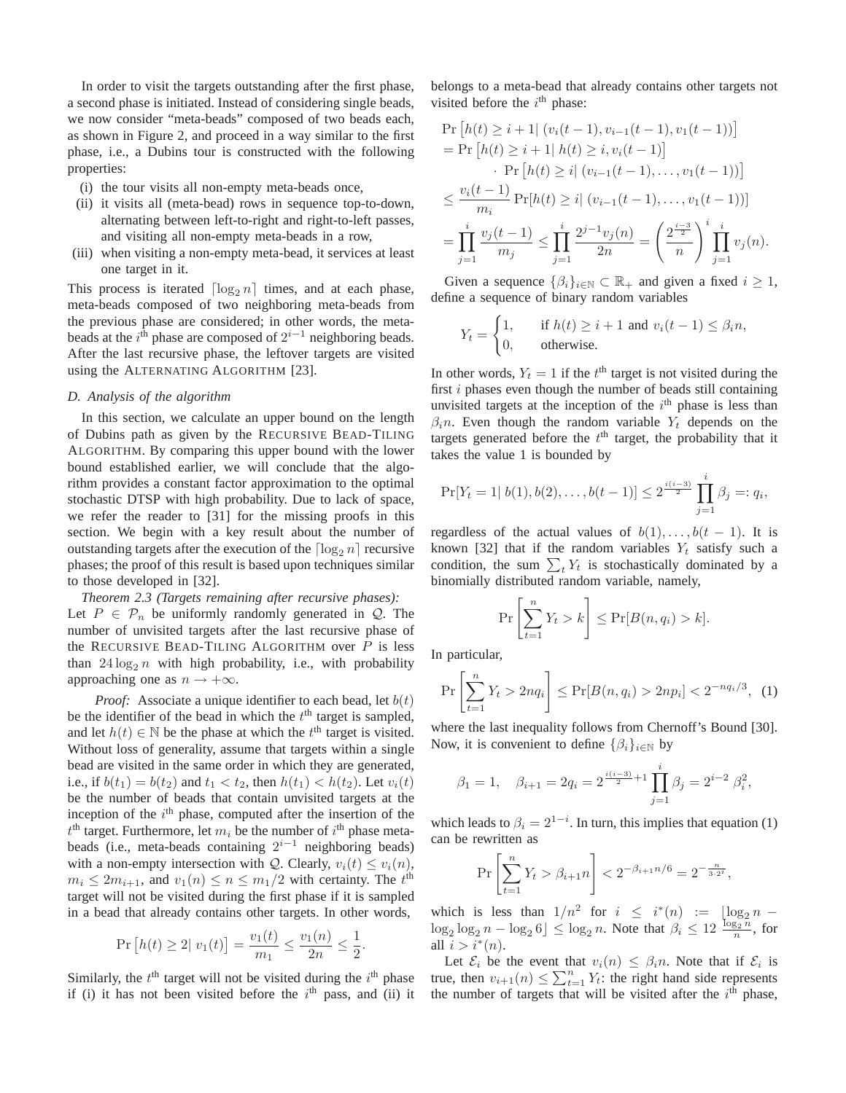In order to visit the targets outstanding after the first phase, a second phase is initiated. Instead of considering single beads, we now consider "meta-beads" composed of two beads each, as shown in Figure 2, and proceed in a way similar to the first phase, i.e., a Dubins tour is constructed with the following properties:

- (i) the tour visits all non-empty meta-beads once,
- (ii) it visits all (meta-bead) rows in sequence top-to-down, alternating between left-to-right and right-to-left passes, and visiting all non-empty meta-beads in a row,
- (iii) when visiting a non-empty meta-bead, it services at least one target in it.

This process is iterated  $\lceil \log_2 n \rceil$  times, and at each phase, meta-beads composed of two neighboring meta-beads from the previous phase are considered; in other words, the metabeads at the  $i<sup>th</sup>$  phase are composed of  $2<sup>i-1</sup>$  neighboring beads. After the last recursive phase, the leftover targets are visited using the ALTERNATING ALGORITHM [23].

## *D. Analysis of the algorithm*

In this section, we calculate an upper bound on the length of Dubins path as given by the RECURSIVE BEAD-TILING ALGORITHM. By comparing this upper bound with the lower bound established earlier, we will conclude that the algorithm provides a constant factor approximation to the optimal stochastic DTSP with high probability. Due to lack of space, we refer the reader to [31] for the missing proofs in this section. We begin with a key result about the number of outstanding targets after the execution of the  $\lceil \log_2 n \rceil$  recursive phases; the proof of this result is based upon techniques similar to those developed in [32].

# *Theorem 2.3 (Targets remaining after recursive phases):* Let  $P \in \mathcal{P}_n$  be uniformly randomly generated in  $\mathcal{Q}$ . The

number of unvisited targets after the last recursive phase of the RECURSIVE BEAD-TILING ALGORITHM over  $P$  is less than  $24 \log_2 n$  with high probability, i.e., with probability approaching one as  $n \rightarrow +\infty$ .

*Proof:* Associate a unique identifier to each bead, let  $b(t)$ be the identifier of the bead in which the  $t<sup>th</sup>$  target is sampled, and let  $h(t) \in \mathbb{N}$  be the phase at which the  $t^{\text{th}}$  target is visited. Without loss of generality, assume that targets within a single bead are visited in the same order in which they are generated, i.e., if  $b(t_1) = b(t_2)$  and  $t_1 < t_2$ , then  $h(t_1) < h(t_2)$ . Let  $v_i(t)$ be the number of beads that contain unvisited targets at the inception of the  $i<sup>th</sup>$  phase, computed after the insertion of the  $t<sup>th</sup>$  target. Furthermore, let  $m_i$  be the number of  $i<sup>th</sup>$  phase metabeads (i.e., meta-beads containing  $2^{i-1}$  neighboring beads) with a non-empty intersection with Q. Clearly,  $v_i(t) \le v_i(n)$ ,  $m_i \le 2m_{i+1}$ , and  $v_1(n) \le n \le m_1/2$  with certainty. The  $t^{\text{th}}$ target will not be visited during the first phase if it is sampled in a bead that already contains other targets. In other words,

$$
\Pr\left[h(t) \ge 2| v_1(t)\right] = \frac{v_1(t)}{m_1} \le \frac{v_1(n)}{2n} \le \frac{1}{2}
$$

.

Similarly, the  $t<sup>th</sup>$  target will not be visited during the  $i<sup>th</sup>$  phase if (i) it has not been visited before the  $i<sup>th</sup>$  pass, and (ii) it belongs to a meta-bead that already contains other targets not visited before the  $i<sup>th</sup>$  phase:

$$
\Pr\left[h(t) \geq i+1| (v_i(t-1), v_{i-1}(t-1), v_1(t-1))\right]
$$
\n
$$
= \Pr\left[h(t) \geq i+1| h(t) \geq i, v_i(t-1)\right]
$$
\n
$$
\cdot \Pr\left[h(t) \geq i| (v_{i-1}(t-1), \dots, v_1(t-1))\right]
$$
\n
$$
\leq \frac{v_i(t-1)}{m_i} \Pr[h(t) \geq i| (v_{i-1}(t-1), \dots, v_1(t-1))]
$$
\n
$$
= \prod_{j=1}^i \frac{v_j(t-1)}{m_j} \leq \prod_{j=1}^i \frac{2^{j-1}v_j(n)}{2n} = \left(\frac{2^{\frac{i-3}{2}}}{n}\right)^i \prod_{j=1}^i v_j(n).
$$

Given a sequence  $\{\beta_i\}_{i\in\mathbb{N}}\subset\mathbb{R}_+$  and given a fixed  $i\geq 1$ , define a sequence of binary random variables

$$
Y_t = \begin{cases} 1, & \text{if } h(t) \ge i+1 \text{ and } v_i(t-1) \le \beta_i n, \\ 0, & \text{otherwise.} \end{cases}
$$

In other words,  $Y_t = 1$  if the  $t^{\text{th}}$  target is not visited during the first  $i$  phases even though the number of beads still containing unvisited targets at the inception of the  $i<sup>th</sup>$  phase is less than  $\beta_i$ n. Even though the random variable Y<sub>t</sub> depends on the targets generated before the  $t<sup>th</sup>$  target, the probability that it takes the value 1 is bounded by

$$
\Pr[Y_t = 1 | b(1), b(2), \dots, b(t-1)] \le 2^{\frac{i(i-3)}{2}} \prod_{j=1}^i \beta_j =: q_i,
$$

regardless of the actual values of  $b(1), \ldots, b(t - 1)$ . It is known [32] that if the random variables  $Y_t$  satisfy such a condition, the sum  $\sum_t Y_t$  is stochastically dominated by a binomially distributed random variable, namely,

$$
\Pr\left[\sum_{t=1}^n Y_t > k\right] \le \Pr[B(n, q_i) > k].
$$

In particular,

$$
\Pr\left[\sum_{t=1}^{n} Y_t > 2nq_i\right] \le \Pr[B(n, q_i) > 2np_i] < 2^{-nq_i/3}, \tag{1}
$$

where the last inequality follows from Chernoff's Bound [30]. Now, it is convenient to define  $\{\beta_i\}_{i\in\mathbb{N}}$  by

$$
\beta_1 = 1
$$
,  $\beta_{i+1} = 2q_i = 2^{\frac{i(i-3)}{2}+1} \prod_{j=1}^i \beta_j = 2^{i-2} \beta_i^2$ ,

which leads to  $\beta_i = 2^{1-i}$ . In turn, this implies that equation (1) can be rewritten as

$$
\Pr\left[\sum_{t=1}^n Y_t > \beta_{i+1} n\right] < 2^{-\beta_{i+1} n/6} = 2^{-\frac{n}{3 \cdot 2^i}},
$$

which is less than  $1/n^2$  for  $i \leq i^*(n) := \lfloor \log_2 n \rfloor$  $\log_2 \log_2 n - \log_2 6 \leq \log_2 n$ . Note that  $\beta_i \leq 12 \frac{\log_2 n}{n}$ , for all  $i > i^*(n)$ .

Let  $\mathcal{E}_i$  be the event that  $v_i(n) \leq \beta_i n$ . Note that if  $\mathcal{E}_i$  is true, then  $v_{i+1}(n) \le \sum_{t=1}^n Y_t$ : the right hand side represents the number of targets that will be visited after the  $i<sup>th</sup>$  phase,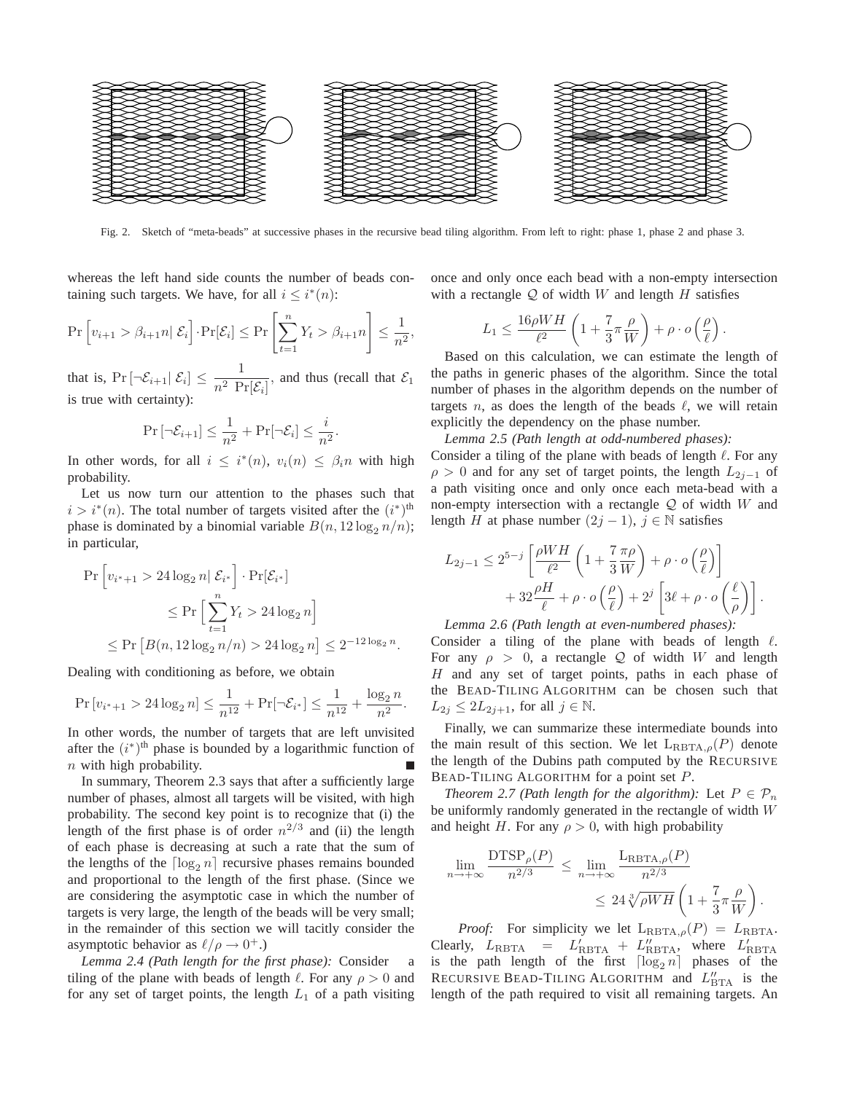

Fig. 2. Sketch of "meta-beads" at successive phases in the recursive bead tiling algorithm. From left to right: phase 1, phase 2 and phase 3.

whereas the left hand side counts the number of beads containing such targets. We have, for all  $i \leq i^*(n)$ :

$$
\Pr\left[v_{i+1} > \beta_{i+1}n \mid \mathcal{E}_i\right] \cdot \Pr[\mathcal{E}_i] \le \Pr\left[\sum_{t=1}^n Y_t > \beta_{i+1}n\right] \le \frac{1}{n^2},
$$

that is,  $Pr\left[\left|\mathcal{E}_{i+1}\right| \mathcal{E}_i\right] \leq \frac{1}{n^2}$  $\frac{1}{n^2 \operatorname{Pr}[\mathcal{E}_i]}$ , and thus (recall that  $\mathcal{E}_1$ is true with certainty):

$$
\Pr\left[\neg \mathcal{E}_{i+1}\right] \le \frac{1}{n^2} + \Pr[\neg \mathcal{E}_i] \le \frac{i}{n^2}.
$$

In other words, for all  $i \leq i^*(n)$ ,  $v_i(n) \leq \beta_i n$  with high probability.

Let us now turn our attention to the phases such that  $i > i^*(n)$ . The total number of targets visited after the  $(i^*)$ <sup>th</sup> phase is dominated by a binomial variable  $B(n, 12\log_2 n/n)$ ; in particular,

$$
\Pr\left[v_{i^*+1} > 24\log_2 n | \mathcal{E}_{i^*}\right] \cdot \Pr[\mathcal{E}_{i^*}]
$$
\n
$$
\leq \Pr\left[\sum_{t=1}^n Y_t > 24\log_2 n\right]
$$
\n
$$
\leq \Pr\left[B(n, 12\log_2 n/n) > 24\log_2 n\right] \leq 2^{-12\log_2 n}.
$$

Dealing with conditioning as before, we obtain

$$
\Pr\left[v_{i^*+1} > 24\log_2 n\right] \le \frac{1}{n^{12}} + \Pr[\neg \mathcal{E}_{i^*}] \le \frac{1}{n^{12}} + \frac{\log_2 n}{n^2}.
$$

In other words, the number of targets that are left unvisited after the  $(i^*)$ <sup>th</sup> phase is bounded by a logarithmic function of  $n$  with high probability.

In summary, Theorem 2.3 says that after a sufficiently large number of phases, almost all targets will be visited, with high probability. The second key point is to recognize that (i) the length of the first phase is of order  $n^{2/3}$  and (ii) the length of each phase is decreasing at such a rate that the sum of the lengths of the  $\lceil \log_2 n \rceil$  recursive phases remains bounded and proportional to the length of the first phase. (Since we are considering the asymptotic case in which the number of targets is very large, the length of the beads will be very small; in the remainder of this section we will tacitly consider the asymptotic behavior as  $\ell/\rho \to 0^+$ .)

*Lemma 2.4 (Path length for the first phase):* Consider a tiling of the plane with beads of length  $\ell$ . For any  $\rho > 0$  and for any set of target points, the length  $L_1$  of a path visiting once and only once each bead with a non-empty intersection with a rectangle  $Q$  of width W and length H satisfies

$$
L_1 \leq \frac{16\rho WH}{\ell^2} \left( 1 + \frac{7}{3}\pi \frac{\rho}{W} \right) + \rho \cdot o\left(\frac{\rho}{\ell}\right).
$$

Based on this calculation, we can estimate the length of the paths in generic phases of the algorithm. Since the total number of phases in the algorithm depends on the number of targets n, as does the length of the beads  $\ell$ , we will retain explicitly the dependency on the phase number.

*Lemma 2.5 (Path length at odd-numbered phases):* Consider a tiling of the plane with beads of length  $\ell$ . For any  $\rho > 0$  and for any set of target points, the length  $L_{2i-1}$  of a path visiting once and only once each meta-bead with a non-empty intersection with a rectangle  $Q$  of width W and length H at phase number  $(2j - 1)$ ,  $j \in \mathbb{N}$  satisfies

$$
L_{2j-1} \leq 2^{5-j} \left[ \frac{\rho W H}{\ell^2} \left( 1 + \frac{7}{3} \frac{\pi \rho}{W} \right) + \rho \cdot o \left( \frac{\rho}{\ell} \right) \right] + 32 \frac{\rho H}{\ell} + \rho \cdot o \left( \frac{\rho}{\ell} \right) + 2^j \left[ 3\ell + \rho \cdot o \left( \frac{\ell}{\rho} \right) \right].
$$

*Lemma 2.6 (Path length at even-numbered phases):*

Consider a tiling of the plane with beads of length  $\ell$ . For any  $\rho > 0$ , a rectangle Q of width W and length  $H$  and any set of target points, paths in each phase of the BEAD-TILING ALGORITHM can be chosen such that  $L_{2j} \leq 2L_{2j+1}$ , for all  $j \in \mathbb{N}$ .

Finally, we can summarize these intermediate bounds into the main result of this section. We let  $L_{RBTA,\rho}(P)$  denote the length of the Dubins path computed by the RECURSIVE BEAD-TILING ALGORITHM for a point set P.

*Theorem 2.7 (Path length for the algorithm):* Let  $P \in \mathcal{P}_n$ be uniformly randomly generated in the rectangle of width W and height H. For any  $\rho > 0$ , with high probability

$$
\lim_{n \to +\infty} \frac{\text{DTSP}_{\rho}(P)}{n^{2/3}} \le \lim_{n \to +\infty} \frac{\text{L}_{\text{RBTA},\rho}(P)}{n^{2/3}} \le 24 \sqrt[3]{\rho W H} \left(1 + \frac{7}{3} \pi \frac{\rho}{W}\right).
$$

*Proof:* For simplicity we let  $L_{RBTA,\rho}(P) = L_{RBTA}$ . Clearly,  $L_{\text{RBTA}} = L'_{\text{RBTA}} + L''_{\text{RBTA}}$ , where  $L'_{\text{RBTA}}$ <br>is the path length of the first  $\lceil \log_2 n \rceil$  phases of the RECURSIVE BEAD-TILING ALGORITHM and  $L''_{\text{BTA}}$  is the length of the path required to visit all remaining targets. An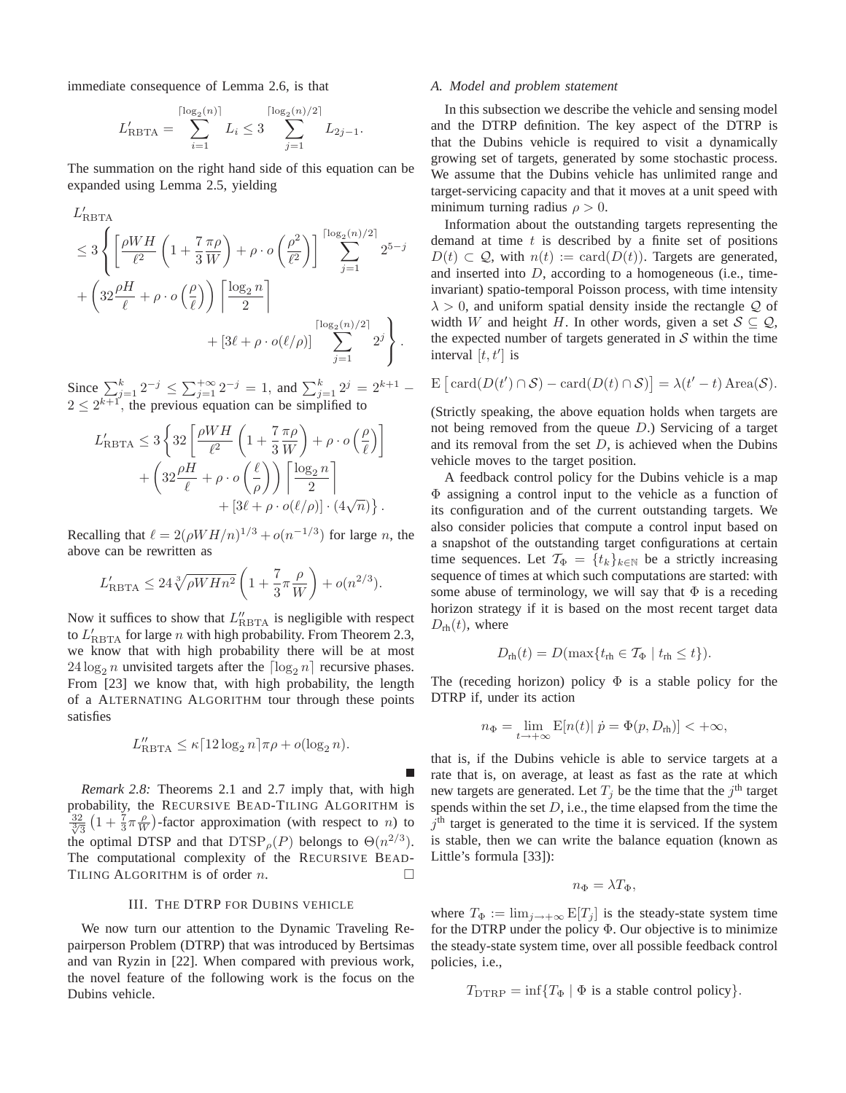immediate consequence of Lemma 2.6, is that

$$
L'_{\text{RBTA}} = \sum_{i=1}^{\lceil \log_2(n) \rceil} L_i \leq 3 \sum_{j=1}^{\lceil \log_2(n)/2 \rceil} L_{2j-1}.
$$

The summation on the right hand side of this equation can be expanded using Lemma 2.5, yielding

$$
L'_{RBTA}
$$
\n
$$
\leq 3 \left\{ \left[ \frac{\rho WH}{\ell^2} \left( 1 + \frac{7 \pi \rho}{3 W} \right) + \rho \cdot o \left( \frac{\rho^2}{\ell^2} \right) \right] \sum_{j=1}^{\lceil \log_2(n)/2 \rceil} 2^{5-j} + \left( 32 \frac{\rho H}{\ell} + \rho \cdot o \left( \frac{\rho}{\ell} \right) \right) \left[ \frac{\log_2 n}{2} \right] + \left[ 3\ell + \rho \cdot o(\ell/\rho) \right] \sum_{j=1}^{\lceil \log_2(n)/2 \rceil} 2^j \right\}.
$$

Since  $\sum_{j=1}^{k} 2^{-j} \leq \sum_{j=1}^{+\infty} 2^{-j} = 1$ , and  $\sum_{j=1}^{k} 2^{j} = 2^{k+1}$  $2 \leq 2^{k+1}$ , the previous equation can be simplified to

$$
L'_{\text{RBTA}} \le 3 \left\{ 32 \left[ \frac{\rho WH}{\ell^2} \left( 1 + \frac{7 \pi \rho}{3 W} \right) + \rho \cdot o \left( \frac{\rho}{\ell} \right) \right] + \left( 32 \frac{\rho H}{\ell} + \rho \cdot o \left( \frac{\ell}{\rho} \right) \right) \left[ \frac{\log_2 n}{2} \right] + \left[ 3\ell + \rho \cdot o(\ell/\rho) \right] \cdot (4\sqrt{n}) \right\}.
$$

Recalling that  $\ell = 2(\rho W H/n)^{1/3} + o(n^{-1/3})$  for large *n*, the above can be rewritten as

$$
L'_{RBTA} \leq 24 \sqrt[3]{\rho W H n^2} \left( 1 + \frac{7}{3} \pi \frac{\rho}{W} \right) + o(n^{2/3}).
$$

Now it suffices to show that  $L''_{RBTA}$  is negligible with respect to  $L'_{\text{RBTA}}$  for large *n* with high probability. From Theorem 2.3, we know that with high probability there will be at most  $24 \log_2 n$  unvisited targets after the  $\lceil \log_2 n \rceil$  recursive phases. From [23] we know that, with high probability, the length of a ALTERNATING ALGORITHM tour through these points satisfies

$$
L''_{\text{RBTA}} \le \kappa \lceil 12 \log_2 n \rceil \pi \rho + o(\log_2 n).
$$

г

*Remark 2.8:* Theorems 2.1 and 2.7 imply that, with high probability, the RECURSIVE BEAD-TILING ALGORITHM is  $\frac{32}{\sqrt[3]{3}}$   $\left(1 + \frac{7}{3}\pi \frac{\rho}{W}\right)$ -factor approximation (with respect to *n*) to the optimal DTSP and that  $DTSP_{\rho}(P)$  belongs to  $\Theta(n^{2/3})$ . The computational complexity of the RECURSIVE BEAD-TILING ALGORITHM is of order  $n$ .

## III. THE DTRP FOR DUBINS VEHICLE

We now turn our attention to the Dynamic Traveling Repairperson Problem (DTRP) that was introduced by Bertsimas and van Ryzin in [22]. When compared with previous work, the novel feature of the following work is the focus on the Dubins vehicle.

## *A. Model and problem statement*

In this subsection we describe the vehicle and sensing model and the DTRP definition. The key aspect of the DTRP is that the Dubins vehicle is required to visit a dynamically growing set of targets, generated by some stochastic process. We assume that the Dubins vehicle has unlimited range and target-servicing capacity and that it moves at a unit speed with minimum turning radius  $\rho > 0$ .

Information about the outstanding targets representing the demand at time  $t$  is described by a finite set of positions  $D(t) \subset \mathcal{Q}$ , with  $n(t) := \text{card}(D(t))$ . Targets are generated, and inserted into  $D$ , according to a homogeneous (i.e., timeinvariant) spatio-temporal Poisson process, with time intensity  $\lambda > 0$ , and uniform spatial density inside the rectangle Q of width W and height H. In other words, given a set  $S \subseteq Q$ , the expected number of targets generated in  $S$  within the time interval  $[t, t']$  is

$$
\mathbb{E}\left[\,\mathrm{card}(D(t')\cap\mathcal{S})-\mathrm{card}(D(t)\cap\mathcal{S})\right]=\lambda(t'-t)\,\mathrm{Area}(\mathcal{S}).
$$

(Strictly speaking, the above equation holds when targets are not being removed from the queue D.) Servicing of a target and its removal from the set  $D$ , is achieved when the Dubins vehicle moves to the target position.

A feedback control policy for the Dubins vehicle is a map Φ assigning a control input to the vehicle as a function of its configuration and of the current outstanding targets. We also consider policies that compute a control input based on a snapshot of the outstanding target configurations at certain time sequences. Let  $\mathcal{T}_{\Phi} = \{t_k\}_{k \in \mathbb{N}}$  be a strictly increasing sequence of times at which such computations are started: with some abuse of terminology, we will say that  $\Phi$  is a receding horizon strategy if it is based on the most recent target data  $D_{\rm rh}(t)$ , where

$$
D_{\text{rh}}(t) = D(\max\{t_{\text{rh}} \in \mathcal{T}_{\Phi} \mid t_{\text{rh}} \leq t\}).
$$

The (receding horizon) policy  $\Phi$  is a stable policy for the DTRP if, under its action

$$
n_{\Phi} = \lim_{t \to +\infty} \mathbb{E}[n(t)| \ \dot{p} = \Phi(p, D_{\text{rh}})] < +\infty,
$$

that is, if the Dubins vehicle is able to service targets at a rate that is, on average, at least as fast as the rate at which new targets are generated. Let  $T_j$  be the time that the  $j<sup>th</sup>$  target spends within the set  $D$ , i.e., the time elapsed from the time the  $j<sup>th</sup>$  target is generated to the time it is serviced. If the system is stable, then we can write the balance equation (known as Little's formula [33]):

$$
n_{\Phi} = \lambda T_{\Phi},
$$

where  $T_{\Phi} := \lim_{j \to +\infty} E[T_j]$  is the steady-state system time for the DTRP under the policy  $\Phi$ . Our objective is to minimize the steady-state system time, over all possible feedback control policies, i.e.,

$$
T_{\text{DTRP}} = \inf \{ T_{\Phi} \mid \Phi \text{ is a stable control policy} \}.
$$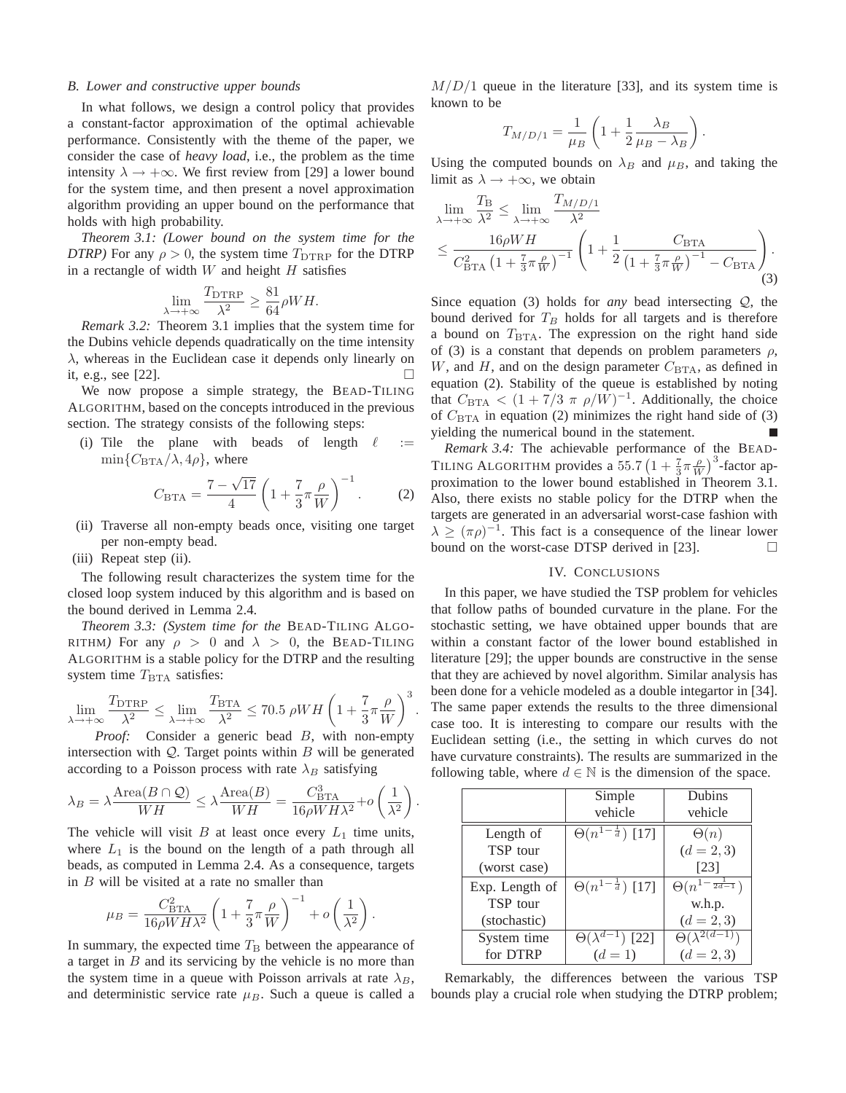## *B. Lower and constructive upper bounds*

In what follows, we design a control policy that provides a constant-factor approximation of the optimal achievable performance. Consistently with the theme of the paper, we consider the case of *heavy load*, i.e., the problem as the time intensity  $\lambda \rightarrow +\infty$ . We first review from [29] a lower bound for the system time, and then present a novel approximation algorithm providing an upper bound on the performance that holds with high probability.

*Theorem 3.1: (Lower bound on the system time for the DTRP*) For any  $\rho > 0$ , the system time  $T_{\text{DTRP}}$  for the DTRP in a rectangle of width  $W$  and height  $H$  satisfies

$$
\lim_{\lambda \to +\infty} \frac{T_{\text{DTRP}}}{\lambda^2} \ge \frac{81}{64} \rho W H.
$$

*Remark 3.2:* Theorem 3.1 implies that the system time for the Dubins vehicle depends quadratically on the time intensity  $\lambda$ , whereas in the Euclidean case it depends only linearly on it, e.g., see  $[22]$ .

We now propose a simple strategy, the BEAD-TILING ALGORITHM, based on the concepts introduced in the previous section. The strategy consists of the following steps:

(i) Tile the plane with beads of length  $\ell :=$  $\min\{C_{\text{BTA}}/\lambda, 4\rho\}$ , where

$$
C_{\text{BTA}} = \frac{7 - \sqrt{17}}{4} \left( 1 + \frac{7}{3} \pi \frac{\rho}{W} \right)^{-1}.
$$
 (2)

- (ii) Traverse all non-empty beads once, visiting one target per non-empty bead.
- (iii) Repeat step (ii).

The following result characterizes the system time for the closed loop system induced by this algorithm and is based on the bound derived in Lemma 2.4.

*Theorem 3.3: (System time for the* BEAD-TILING ALGO-RITHM) For any  $\rho > 0$  and  $\lambda > 0$ , the BEAD-TILING ALGORITHM is a stable policy for the DTRP and the resulting system time  $T_{\text{BTA}}$  satisfies:

$$
\lim_{\lambda \to +\infty} \frac{T_{\text{DTRP}}}{\lambda^2} \le \lim_{\lambda \to +\infty} \frac{T_{\text{BTA}}}{\lambda^2} \le 70.5 \, \rho WH \left( 1 + \frac{7}{3} \pi \frac{\rho}{W} \right)^3
$$

.

.

*Proof:* Consider a generic bead B, with non-empty intersection with  $Q$ . Target points within  $B$  will be generated according to a Poisson process with rate  $\lambda_B$  satisfying

$$
\lambda_B = \lambda \frac{\text{Area}(B \cap \mathcal{Q})}{WH} \leq \lambda \frac{\text{Area}(B)}{WH} = \frac{C_{\text{BTA}}^3}{16\rho W H \lambda^2} + o\left(\frac{1}{\lambda^2}\right)
$$

The vehicle will visit  $B$  at least once every  $L_1$  time units, where  $L_1$  is the bound on the length of a path through all beads, as computed in Lemma 2.4. As a consequence, targets in  $B$  will be visited at a rate no smaller than

$$
\mu_B = \frac{C_{\rm BTA}^2}{16\rho W H \lambda^2} \left( 1 + \frac{7}{3} \pi \frac{\rho}{W} \right)^{-1} + o\left(\frac{1}{\lambda^2}\right).
$$

In summary, the expected time  $T<sub>B</sub>$  between the appearance of a target in  $B$  and its servicing by the vehicle is no more than the system time in a queue with Poisson arrivals at rate  $\lambda_B$ , and deterministic service rate  $\mu_B$ . Such a queue is called a

 $M/D/1$  queue in the literature [33], and its system time is known to be

$$
T_{M/D/1} = \frac{1}{\mu_B} \left( 1 + \frac{1}{2} \frac{\lambda_B}{\mu_B - \lambda_B} \right).
$$

Using the computed bounds on  $\lambda_B$  and  $\mu_B$ , and taking the limit as  $\lambda \rightarrow +\infty$ , we obtain

$$
\lim_{\lambda \to +\infty} \frac{T_{\rm B}}{\lambda^2} \le \lim_{\lambda \to +\infty} \frac{T_{M/D/1}}{\lambda^2} \n\le \frac{16\rho WH}{C_{\rm BTA}^2 \left(1 + \frac{7}{3}\pi \frac{\rho}{W}\right)^{-1}} \left(1 + \frac{1}{2} \frac{C_{\rm BTA}}{\left(1 + \frac{7}{3}\pi \frac{\rho}{W}\right)^{-1} - C_{\rm BTA}}\right).
$$
\n(3)

Since equation (3) holds for *any* bead intersecting Q, the bound derived for  $T_B$  holds for all targets and is therefore a bound on  $T_{\text{BTA}}$ . The expression on the right hand side of (3) is a constant that depends on problem parameters  $\rho$ , W, and H, and on the design parameter  $C_{\text{BTA}}$ , as defined in equation (2). Stability of the queue is established by noting that  $C_{\text{BTA}} < (1 + 7/3 \pi \rho/W)^{-1}$ . Additionally, the choice of  $C<sub>BTA</sub>$  in equation (2) minimizes the right hand side of (3) yielding the numerical bound in the statement.

*Remark 3.4:* The achievable performance of the BEAD-TILING ALGORITHM provides a 55.7  $\left(1 + \frac{7}{3}\pi \frac{\rho}{W}\right)^3$ -factor approximation to the lower bound established in Theorem 3.1. Also, there exists no stable policy for the DTRP when the targets are generated in an adversarial worst-case fashion with  $\lambda \geq (\pi \rho)^{-1}$ . This fact is a consequence of the linear lower bound on the worst-case DTSP derived in [23].  $\Box$ 

## IV. CONCLUSIONS

In this paper, we have studied the TSP problem for vehicles that follow paths of bounded curvature in the plane. For the stochastic setting, we have obtained upper bounds that are within a constant factor of the lower bound established in literature [29]; the upper bounds are constructive in the sense that they are achieved by novel algorithm. Similar analysis has been done for a vehicle modeled as a double integartor in [34]. The same paper extends the results to the three dimensional case too. It is interesting to compare our results with the Euclidean setting (i.e., the setting in which curves do not have curvature constraints). The results are summarized in the following table, where  $d \in \mathbb{N}$  is the dimension of the space.

|                | Simple                           | Dubins                         |
|----------------|----------------------------------|--------------------------------|
|                | vehicle                          | vehicle                        |
| Length of      | $\Theta(n^{1-\frac{1}{d}})$ [17] | $\Theta(n)$                    |
| TSP tour       |                                  | $(d = 2, 3)$                   |
| (worst case)   |                                  | [23]                           |
| Exp. Length of | $\Theta(n^{1-\frac{1}{d}})$ [17] | $\Theta(n^{1-\frac{1}{2d-1}})$ |
| TSP tour       |                                  | w.h.p.                         |
| (stochastic)   |                                  | $(d = 2, 3)$                   |
| System time    | $\Theta(\lambda^{d-1})$ [22]     | $\Theta(\lambda^{2(d-1)})$     |
| for DTRP       | $(d = 1)$                        | $(d = 2, 3)$                   |

Remarkably, the differences between the various TSP bounds play a crucial role when studying the DTRP problem;